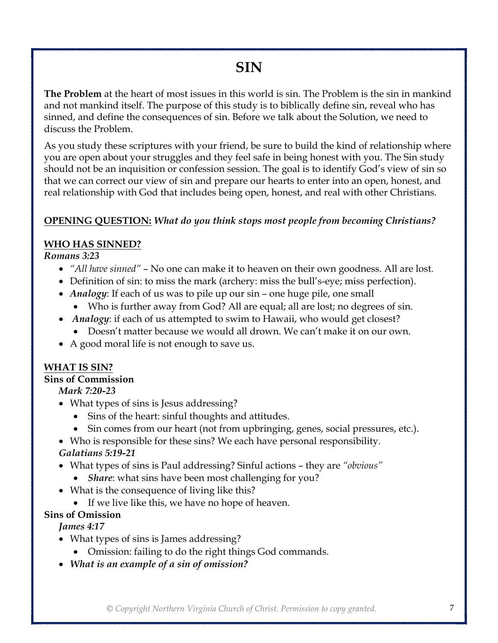# **SIN**

**The Problem** at the heart of most issues in this world is sin. The Problem is the sin in mankind and not mankind itself. The purpose of this study is to biblically define sin, reveal who has sinned, and define the consequences of sin. Before we talk about the Solution, we need to discuss the Problem.

As you study these scriptures with your friend, be sure to build the kind of relationship where you are open about your struggles and they feel safe in being honest with you. The Sin study should not be an inquisition or confession session. The goal is to identify God's view of sin so that we can correct our view of sin and prepare our hearts to enter into an open, honest, and real relationship with God that includes being open, honest, and real with other Christians.

## **OPENING QUESTION:** *What do you think stops most people from becoming Christians?*

## **WHO HAS SINNED?**

#### *Romans 3:23*

- *"All have sinned"* No one can make it to heaven on their own goodness. All are lost.
- Definition of sin: to miss the mark (archery: miss the bull's-eye; miss perfection).
- *Analogy*: If each of us was to pile up our sin one huge pile, one small
	- Who is further away from God? All are equal; all are lost; no degrees of sin.
- *Analogy*: if each of us attempted to swim to Hawaii, who would get closest?
	- Doesn't matter because we would all drown. We can't make it on our own.
- A good moral life is not enough to save us.

### **WHAT IS SIN?**

#### **Sins of Commission**

*Mark 7:20-23*

- What types of sins is Jesus addressing?
	- Sins of the heart: sinful thoughts and attitudes.
	- Sin comes from our heart (not from upbringing, genes, social pressures, etc.).

• Who is responsible for these sins? We each have personal responsibility.

#### *Galatians 5:19-21*

- What types of sins is Paul addressing? Sinful actions they are *"obvious"*
	- *Share*: what sins have been most challenging for you?
- What is the consequence of living like this?
	- If we live like this, we have no hope of heaven.

## **Sins of Omission**

*James 4:17*

- What types of sins is James addressing?
	- Omission: failing to do the right things God commands.
- *What is an example of a sin of omission?*